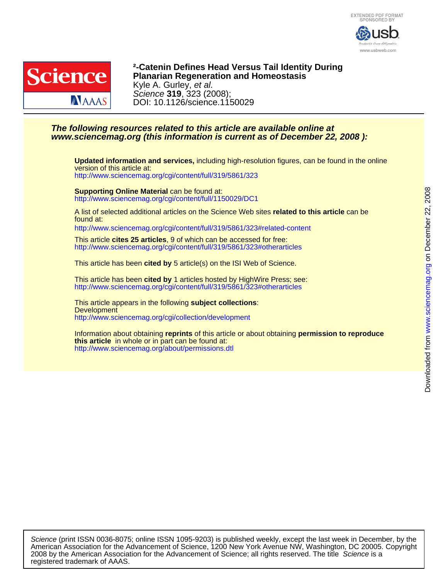



DOI: 10.1126/science.1150029 Science **319**, 323 (2008); Kyle A. Gurley, et al. **Planarian Regeneration and Homeostasis ²-Catenin Defines Head Versus Tail Identity During**

## **www.sciencemag.org (this information is current as of December 22, 2008 ): The following resources related to this article are available online at**

<http://www.sciencemag.org/cgi/content/full/319/5861/323> version of this article at: **Updated information and services,** including high-resolution figures, can be found in the online

<http://www.sciencemag.org/cgi/content/full/1150029/DC1> **Supporting Online Material** can be found at:

found at: A list of selected additional articles on the Science Web sites **related to this article** can be

<http://www.sciencemag.org/cgi/content/full/319/5861/323#related-content>

<http://www.sciencemag.org/cgi/content/full/319/5861/323#otherarticles> This article **cites 25 articles**, 9 of which can be accessed for free:

This article has been **cited by** 5 article(s) on the ISI Web of Science.

<http://www.sciencemag.org/cgi/content/full/319/5861/323#otherarticles> This article has been **cited by** 1 articles hosted by HighWire Press; see:

<http://www.sciencemag.org/cgi/collection/development> **Development** This article appears in the following **subject collections**:

<http://www.sciencemag.org/about/permissions.dtl> **this article** in whole or in part can be found at: Information about obtaining **reprints** of this article or about obtaining **permission to reproduce**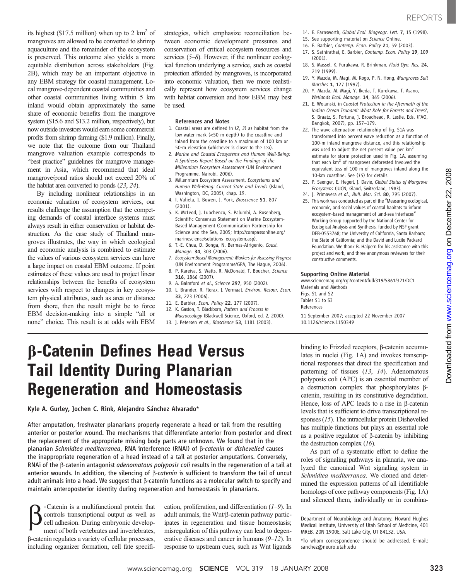its highest (\$17.5 million) when up to 2  $\text{km}^2$  of mangroves are allowed to be converted to shrimp aquaculture and the remainder of the ecosystem is preserved. This outcome also yields a more equitable distribution across stakeholders (Fig. 2B), which may be an important objective in any EBM strategy for coastal management. Local mangrove-dependent coastal communities and other coastal communities living within 5 km inland would obtain approximately the same share of economic benefits from the mangrove system (\$15.6 and \$13.2 million, respectively), but now outside investors would earn some commercial profits from shrimp farming (\$1.9 million). Finally, we note that the outcome from our Thailand mangrove valuation example corresponds to "best practice" guidelines for mangrove management in Asia, which recommend that ideal mangrove/pond ratios should not exceed 20% of the habitat area converted to ponds (23, 24).

By including nonlinear relationships in an economic valuation of ecosystem services, our results challenge the assumption that the competing demands of coastal interface systems must always result in either conservation or habitat destruction. As the case study of Thailand mangroves illustrates, the way in which ecological and economic analysis is combined to estimate the values of various ecosystem services can have a large impact on coastal EBM outcome. If point estimates of these values are used to project linear relationships between the benefits of ecosystem services with respect to changes in key ecosystem physical attributes, such as area or distance from shore, then the result might be to force EBM decision-making into a simple "all or none" choice. This result is at odds with EBM

strategies, which emphasize reconciliation between economic development pressures and conservation of critical ecosystem resources and services (5–8). However, if the nonlinear ecological function underlying a service, such as coastal protection afforded by mangroves, is incorporated into economic valuation, then we more realistically represent how ecosystem services change with habitat conversion and how EBM may best be used.

#### References and Notes

- 1. Coastal areas are defined in (2, 3) as habitat from the low water mark (<50 m depth) to the coastline and inland from the coastline to a maximum of 100 km or 50-m elevation (whichever is closer to the sea).
- 2. Marine and Coastal Ecosystems and Human Well-Being: A Synthesis Report Based on the Findings of the Millennium Ecosystem Assessment (UN Environment Programme, Nairobi, 2006).
- 3. Millennium Ecosystem Assessment, Ecosystems and Human Well-Being: Current State and Trends (Island, Washington, DC, 2005), chap. 19.
- 4. I. Valiela, J. Bowen, J. York, Bioscience 51, 807 (2001).
- 5. K. McLeod, J. Lubchenco, S. Palumbi, A. Rosenberg, Scientific Consensus Statement on Marine Ecosystem-Based Management (Communication Partnership for Science and the Sea, 2005; http://compassonline.org/ marinescience/solutions\_ecosystem.asp).
- 6. T.-E. Chua, D. Bonga, N. Bermas-Atrigenio, Coast. Manage. 34, 303 (2006).
- 7. Ecosystem-Based Management: Markers for Assessing Progress (UN Environment Programme/GPA, The Hague, 2006).
- 8. P. Kareiva, S. Watts, R. McDonald, T. Boucher, Science 316, 1866 (2007).
- 9. A. Balmford et al., Science 297, 950 (2002).
- 10. L. Brander, R. Florax, J. Vermaat, Environ. Resour. Econ. 33, 223 (2006).
- 11. E. Barbier, Econ. Policy 22, 177 (2007).
- 12. K. Gaston, T. Blackborn, Pattern and Process in
- Macroecology (Blackwell Science, Oxford, ed. 2, 2000). 13. J. Petersen et al., Bioscience 53, 1181 (2003).
- 14. E. Farnsworth, Global Ecol. Biogeogr. Lett. 7, 15 (1998).
- 15. See supporting material on Science Online. 16. E. Barbier, Contemp. Econ. Policy 21, 59 (2003).
- 17. S. Sathirathai, E. Barbier, Contemp. Econ. Policy 19, 109 (2001).
- 18. S. Massel, K. Furukawa, R. Brinkman, Fluid Dyn. Res. 24, 219 (1999).
- 19. Y. Mazda, M. Magi, M. Kogo, P. N. Hong, Mangroves Salt Marshes 1, 127 (1997).
- 20. Y. Mazda, M. Magi, Y. Ikeda, T. Kurokawa, T. Asano, Wetlands Ecol. Manage. 14, 365 (2006).
- 21. E. Wolanski, in Coastal Protection in the Aftermath of the Indian Ocean Tsunami: What Role for Forests and Trees?, S. Braatz, S. Fortuna, J. Broadhead, R. Leslie, Eds. (FAO, Bangkok, 2007), pp. 157–179.
- 22. The wave attenuation relationship of fig. S1A was transformed into percent wave reduction as a function of 100-m inland mangrove distance, and this relationship was used to adjust the net present value per km<sup>2</sup> estimate for storm protection used in Fig. 1A, assuming that each  $km<sup>2</sup>$  of mangroves deforested involved the equivalent loss of 100 m of mangroves inland along the 10-km coastline. See (15) for details.
- 23. P. Saenger, E. Hegerl, J. Davie, Global Status of Mangrove Ecosystems (IUCN, Gland, Switzerland, 1983).
- 24. J. Primavera et al., Bull. Mar. Sci. 80, 795 (2007).
- 25. This work was conducted as part of the "Measuring ecological, economic, and social values of coastal habitats to inform ecosystem-based management of land-sea interfaces" Working Group supported by the National Center for Ecological Analysis and Synthesis, funded by NSF grant DEB-0553768; the University of California, Santa Barbara; the State of California; and the David and Lucile Packard Foundation. We thank B. Halpern for his assistance with this project and work, and three anonymous reviewers for their constructive comments.

#### Supporting Online Material

www.sciencemag.org/cgi/content/full/319/5861/321/DC1 Materials and Methods Figs. S1 and S2 Tables S1 to S3 References

11 September 2007; accepted 22 November 2007 10.1126/science.1150349

## b-Catenin Defines Head Versus Tail Identity During Planarian Regeneration and Homeostasis

Kyle A. Gurley, Jochen C. Rink, Alejandro Sánchez Alvarado\*

After amputation, freshwater planarians properly regenerate a head or tail from the resulting anterior or posterior wound. The mechanisms that differentiate anterior from posterior and direct the replacement of the appropriate missing body parts are unknown. We found that in the planarian Schmidtea mediterranea, RNA interference (RNAi) of  $\beta$ -catenin or dishevelled causes the inappropriate regeneration of a head instead of a tail at posterior amputations. Conversely, RNAi of the B-catenin antagonist *adenomatous polyposis coli* results in the regeneration of a tail at anterior wounds. In addition, the silencing of  $\beta$ -catenin is sufficient to transform the tail of uncut adult animals into a head. We suggest that  $\beta$ -catenin functions as a molecular switch to specify and maintain anteroposterior identity during regeneration and homeostasis in planarians.

**b** -Catenin is a multifunctional protein that<br>controls transcriptional output as well as<br>cell adhesion. During embryonic developcontrols transcriptional output as well as cell adhesion. During embryonic development of both vertebrates and invertebrates, b-catenin regulates a variety of cellular processes, including organizer formation, cell fate specifi-

cation, proliferation, and differentiation (1–9). In adult animals, the Wnt/ß-catenin pathway participates in regeneration and tissue homeostasis; misregulation of this pathway can lead to degenerative diseases and cancer in humans (9–12). In response to upstream cues, such as Wnt ligands

binding to Frizzled receptors, β-catenin accumulates in nuclei (Fig. 1A) and invokes transcriptional responses that direct the specification and patterning of tissues  $(13, 14)$ . Adenomatous polyposis coli (APC) is an essential member of a destruction complex that phosphorylates  $\beta$ catenin, resulting in its constitutive degradation. Hence, loss of APC leads to a rise in  $\beta$ -catenin levels that is sufficient to drive transcriptional responses (15). The intracellular protein Dishevelled has multiple functions but plays an essential role as a positive regulator of  $\beta$ -catenin by inhibiting the destruction complex  $(16)$ .

As part of a systematic effort to define the roles of signaling pathways in planaria, we analyzed the canonical Wnt signaling system in Schmidtea mediterranea. We cloned and determined the expression patterns of all identifiable homologs of core pathway components (Fig. 1A) and silenced them, individually or in combina-

Department of Neurobiology and Anatomy, Howard Hughes Medical Institute, University of Utah School of Medicine, 401 MREB, 20N 1900E, Salt Lake City, UT 84132, USA.

<sup>\*</sup>To whom correspondence should be addressed. E-mail: sanchez@neuro.utah.edu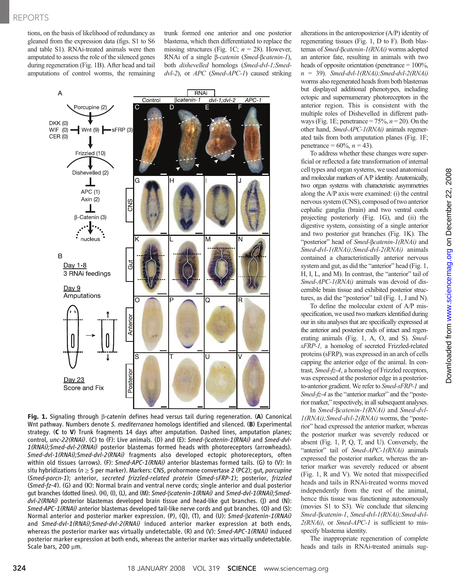tions, on the basis of likelihood of redundancy as gleaned from the expression data (figs. S1 to S6 and table S1). RNAi-treated animals were then amputated to assess the role of the silenced genes during regeneration (Fig. 1B). After head and tail amputations of control worms, the remaining trunk formed one anterior and one posterior blastema, which then differentiated to replace the missing structures (Fig. 1C;  $n = 28$ ). However, RNAi of a single  $\beta$ -catenin (Smed- $\beta$ catenin-1), both dishevelled homologs (Smed-dvl-1;Smed $dvl-2$ ), or  $APC$  (Smed-APC-1) caused striking



Fig. 1. Signaling through <sup>b</sup>-catenin defines head versus tail during regeneration. (A) Canonical Wnt pathway. Numbers denote S. mediterranea homologs identified and silenced. (B) Experimental strategy. (C to V) Trunk fragments 14 days after amputation. Dashed lines, amputation planes; control, unc-22(RNAi). (C) to (F): Live animals. (D) and (E):  $Smed$ - $\beta$ catenin-1(RNAi) and  $Smed$ - $dvl$ -1(RNAi);Smed-dvl-2(RNAi) posterior blastemas formed heads with photoreceptors (arrowheads). Smed-dvl-1(RNAi);Smed-dvl-2(RNAi) fragments also developed ectopic photoreceptors, often within old tissues (arrows). (F): Smed-APC-1(RNAi) anterior blastemas formed tails. (G) to (V): In situ hybridizations ( $n \geq 5$  per marker). Markers: CNS, prohormone convertase 2 (PC2); gut, *porcupine* (Smed-porcn-1); anterior, secreted frizzled-related protein (Smed-sFRP-1); posterior, frizzled (Smed-fz-4). (G) and (K): Normal brain and ventral nerve cords; single anterior and dual posterior qut branches (dotted lines). (H), (I), (L), and (M): Smed-Bcatenin-1(RNAi) and Smed-dvl-1(RNAi); Smed $dvl-2(RNAi)$  posterior blastemas developed brain tissue and head-like gut branches. (J) and (N): Smed-APC-1(RNAi) anterior blastemas developed tail-like nerve cords and gut branches. (O) and (S): Normal anterior and posterior marker expression. (P), (Q), (T), and (U): Smed-Bcatenin-1(RNAi) and Smed-dvl-1(RNAi); Smed-dvl-2(RNAi) induced anterior marker expression at both ends, whereas the posterior marker was virtually undetectable. (R) and (V): Smed-APC-1(RNAi) induced posterior marker expression at both ends, whereas the anterior marker was virtually undetectable. Scale bars, 200 µm.

alterations in the anteroposterior (A/P) identity of regenerating tissues (Fig. 1, D to F). Both blastemas of Smed-Bcatenin-1(RNAi) worms adopted an anterior fate, resulting in animals with two heads of opposite orientation (penetrance  $= 100\%$ ,  $n = 39$ ). Smed-dvl-1(RNAi); Smed-dvl-2(RNAi) worms also regenerated heads from both blastemas but displayed additional phenotypes, including ectopic and supernumerary photoreceptors in the anterior region. This is consistent with the multiple roles of Dishevelled in different pathways (Fig. 1E; penetrance =  $75\%, n = 20$ ). On the other hand, Smed-APC-1(RNAi) animals regenerated tails from both amputation planes (Fig. 1F; penetrance =  $60\%, n = 43$ ).

To address whether these changes were superficial or reflected a fate transformation of internal cell types and organ systems, we used anatomical and molecular markers of A/P identity. Anatomically, two organ systems with characteristic asymmetries along the A/P axis were examined: (i) the central nervous system (CNS), composed of two anterior cephalic ganglia (brain) and two ventral cords projecting posteriorly (Fig. 1G), and (ii) the digestive system, consisting of a single anterior and two posterior gut branches (Fig. 1K). The "posterior" head of Smed-Bcatenin-1(RNAi) and Smed-dvl-1(RNAi);Smed-dvl-2(RNAi) animals contained a characteristically anterior nervous system and gut, as did the "anterior" head (Fig. 1, H, I, L, and M). In contrast, the "anterior" tail of Smed-APC-1(RNAi) animals was devoid of discernible brain tissue and exhibited posterior structures, as did the "posterior" tail (Fig. 1, J and N).

To define the molecular extent of A/P misspecification, we used two markers identified during our in situ analyses that are specifically expressed at the anterior and posterior ends of intact and regenerating animals (Fig. 1, A, O, and S). SmedsFRP-1, a homolog of secreted Frizzled-related proteins (sFRP), was expressed in an arch of cells capping the anterior edge of the animal. In contrast, Smed-fz-4, a homolog of Frizzled receptors, was expressed at the posterior edge in a posteriorto-anterior gradient. We refer to Smed-sFRP-1 and Smed-fz-4 as the "anterior marker" and the "posterior marker," respectively, in all subsequent analyses.

In Smed-bcatenin-1(RNAi) and Smed-dvl- $1(RNAi);Smed-dvl-2(RNAi)$  worms, the "posterior" head expressed the anterior marker, whereas the posterior marker was severely reduced or absent (Fig. 1, P, Q, T, and U). Conversely, the "anterior" tail of Smed-APC-1(RNAi) animals expressed the posterior marker, whereas the anterior marker was severely reduced or absent (Fig. 1, R and V). We noted that misspecified heads and tails in RNAi-treated worms moved independently from the rest of the animal, hence this tissue was functioning autonomously (movies S1 to S3). We conclude that silencing Smed-bcatenin-1, Smed-dvl-1(RNAi);Smed-dvl- $2(RNAi)$ , or *Smed-APC-1* is sufficient to misspecify blastema identity.

The inappropriate regeneration of complete heads and tails in RNAi-treated animals sug-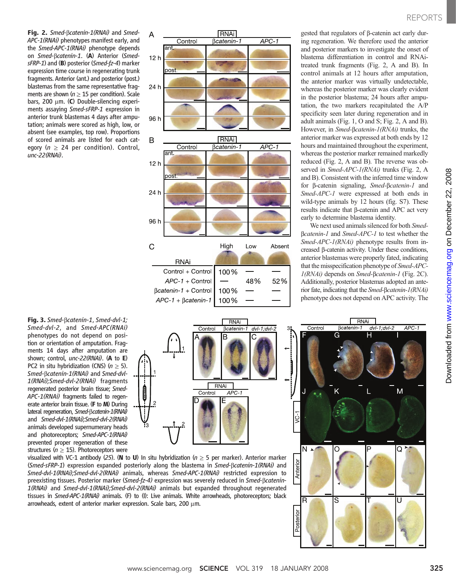REPORTS

www.sciencemag.orgon December 22, 2008

Downloaded from www.sciencemag.org on December 22, 2008

Downloaded from

Fig. 2. Smed-Bcatenin-1(RNAi) and Smed-APC-1(RNAi) phenotypes manifest early, and the Smed-APC-1(RNAi) phenotype depends on Smed-Bcatenin-1. (A) Anterior (SmedsFRP-1) and (B) posterior (Smed-fz-4) marker expression time course in regenerating trunk fragments. Anterior (ant.) and posterior (post.) blastemas from the same representative fragments are shown ( $n \geq 15$  per condition). Scale bars, 200  $\mu$ m. (C) Double-silencing experiments assaying Smed-sFRP-1 expression in anterior trunk blastemas 4 days after amputation; animals were scored as high, low, or absent (see examples, top row). Proportions of scored animals are listed for each category ( $n \geq 24$  per condition). Control, unc-22(RNAi).

Fig. 3. Smed- $\beta$ catenin-1, Smed-dvl-1;<br>Smed-dvl-2, and Smed-APC(RNAi) phenotypes do not depend on position or orientation of amputation. Fragments 14 days after amputation are shown; control, unc-22(RNAi). (A to E) PC2 in situ hybridization (CNS) ( $n \geq 5$ ). Smed-bcatenin-1(RNAi) and Smed-dvl-1(RNAi);Smed-dvl-2(RNAi) fragments regenerated posterior brain tissue; Smed-APC-1(RNAi) fragments failed to regenerate anterior brain tissue. (F to M) During lateral regeneration, Smed-Bcatenin-1(RNAi) and Smed-dvl-1(RNAi);Smed-dvl-2(RNAi) animals developed supernumerary heads and photoreceptors; Smed-APC-1(RNAi) prevented proper regeneration of these structures ( $n \geq 15$ ). Photoreceptors were



gested that regulators of  $\beta$ -catenin act early during regeneration. We therefore used the anterior and posterior markers to investigate the onset of blastema differentiation in control and RNAitreated trunk fragments (Fig. 2, A and B). In control animals at 12 hours after amputation, the anterior marker was virtually undetectable, whereas the posterior marker was clearly evident in the posterior blastema; 24 hours after amputation, the two markers recapitulated the A/P specificity seen later during regeneration and in adult animals (Fig. 1, O and S; Fig. 2, A and B). However, in Smed-Bcatenin-1(RNAi) trunks, the anterior marker was expressed at both ends by 12 hours and maintained throughout the experiment, whereas the posterior marker remained markedly reduced (Fig. 2, A and B). The reverse was observed in Smed-APC-1(RNAi) trunks (Fig. 2, A and B). Consistent with the inferred time window for b-catenin signaling, Smed-bcatenin-1 and Smed-APC-1 were expressed at both ends in wild-type animals by 12 hours (fig. S7). These  $r$ esults indicate that  $\beta$ -catenin and APC act very early to determine blastema identity.

We next used animals silenced for both Smed-Bcatenin-1 and Smed-APC-1 to test whether the Smed-APC-1(RNAi) phenotype results from increased b-catenin activity. Under these conditions, anterior blastemas were properly fated, indicating that the misspecification phenotype of Smed-APC-1(RNAi) depends on Smed-Bcatenin-1 (Fig. 2C). Additionally, posterior blastemas adopted an anterior fate, indicating that the Smed-bcatenin-1(RNAi) phenotype does not depend on APC activity. The



visualized with VC-1 antibody (25). (N to U) In situ hybridization ( $n \geq 5$  per marker). Anterior marker (Smed-sFRP-1) expression expanded posteriorly along the blastema in Smed-Bcatenin-1(RNAi) and Smed-dvl-1(RNAi);Smed-dvl-2(RNAi) animals, whereas Smed-APC-1(RNAi) restricted expression to preexisting tissues. Posterior marker (Smed-fz-4) expression was severely reduced in Smed-bcatenin-1(RNAi) and Smed-dvl-1(RNAi);Smed-dvl-2(RNAi) animals but expanded throughout regenerated tissues in Smed-APC-1(RNAi) animals. (F) to (I): Live animals. White arrowheads, photoreceptors; black arrowheads, extent of anterior marker expression. Scale bars, 200  $\mu$ m.



Antorio

n<br>Chota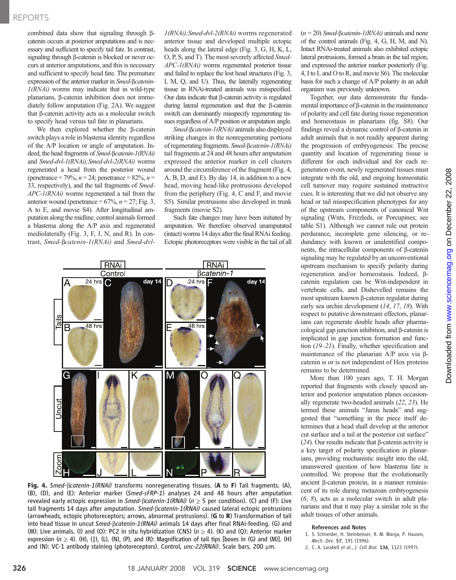## REPORTS

combined data show that signaling through  $\beta$ catenin occurs at posterior amputations and is necessary and sufficient to specify tail fate. In contrast, signaling through  $\beta$ -catenin is blocked or never occurs at anterior amputations, and this is necessary and sufficient to specify head fate. The premature expression of the anterior marker in Smed-Bcatenin- $1(RNAi)$  worms may indicate that in wild-type planarians, b-catenin inhibition does not immediately follow amputation (Fig. 2A). We suggest  $that β-catenin activity acts as a molecular switch$ to specify head versus tail fate in planarians.

We then explored whether the  $\beta$ -catenin switch plays a role in blastema identity regardless of the A/P location or angle of amputation. Indeed, the head fragments of Smed-Bcatenin-1(RNAi) and Smed-dvl-1(RNAi);Smed-dvl-2(RNAi) worms regenerated a head from the posterior wound (penetrance = 79%,  $n = 24$ ; penetrance = 82%,  $n =$ 33, respectively), and the tail fragments of Smed-APC-1(RNAi) worms regenerated a tail from the anterior wound (penetrance =  $67\%, n = 27$ ; Fig. 3, A to E, and movie S4). After longitudinal amputation along the midline, control animals formed a blastema along the A/P axis and regenerated mediolaterally (Fig. 3, F, J, N, and R). In contrast, Smed-bcatenin-1(RNAi) and Smed-dvl1(RNAi);Smed-dvl-2(RNAi) worms regenerated anterior tissue and developed multiple ectopic heads along the lateral edge (Fig. 3, G, H, K, L, O, P, S, and T). The most severely affected Smed-APC-1(RNAi) worms regenerated posterior tissue and failed to replace the lost head structures (Fig. 3, I, M, Q, and U). Thus, the laterally regenerating tissue in RNAi-treated animals was misspecified. Our data indicate that  $\beta$ -catenin activity is regulated during lateral regeneration and that the  $\beta$ -catenin switch can dominantly misspecify regenerating tissues regardless of A/P position or amputation angle.

Smed- $\beta$ catenin-1(RNAi) animals also displayed striking changes in the nonregenerating portions of regenerating fragments. Smed-bcatenin-1(RNAi) tail fragments at 24 and 48 hours after amputation expressed the anterior marker in cell clusters around the circumference of the fragment (Fig. 4, A, B, D, and E). By day 14, in addition to a new head, moving head-like protrusions developed from the periphery (Fig. 4, C and F, and movie S5). Similar protrusions also developed in trunk fragments (movie S2).

Such fate changes may have been initiated by amputation. We therefore observed unamputated (intact) worms 14 days after the final RNAi feeding. Ectopic photoreceptors were visible in the tail of all



Fig. 4. Smed-Bcatenin-1(RNAi) transforms nonregenerating tissues. (A to F) Tail fragments. (A),  $(B)$ , (D), and (E): Anterior marker (*Smed-sFRP-1*) analyses 24 and 48 hours after amputation revealed early ectopic expression in  $Smed$ - $Bcatenin-1(RNAi)$  ( $n \geq 5$  per condition). (C) and (F): Live tail fragments 14 days after amputation. Smed- $\beta$ catenin-1(RNAi) caused lateral ectopic protrusions (arrowheads, ectopic photoreceptors; arrows, abnormal protrusions). (**G** to  $\mathbb{R}$ ) Transformation of tail into head tissue in uncut Smed-Bcatenin-1(RNAi) animals 14 days after final RNAi-feeding. (G) and (M): Live animals. (I) and (O): PC2 in situ hybridization (CNS) ( $n \ge 4$ ). (K) and (Q): Anterior marker expression ( $n \ge 4$ ). (H), (J), (L), (N), (P), and (R): Magnification of tail tips [boxes in (G) and (M)]. (H) and (N): VC-1 antibody staining (photoreceptors). Control,  $unc-22(RNAi)$ . Scale bars, 200  $\mu$ m.

 $(n = 20)$  *Smed-Bcatenin-1(RNAi)* animals and none of the control animals (Fig. 4, G, H, M, and N). Intact RNAi-treated animals also exhibited ectopic lateral protrusions, formed a brain in the tail region, and expressed the anterior marker posteriorly (Fig. 4, I to L and O to R, and movie S6). The molecular basis for such a change of A/P polarity in an adult organism was previously unknown.

Together, our data demonstrate the fundamental importance of  $\beta$ -catenin in the maintenance of polarity and cell fate during tissue regeneration and homeostasis in planarians (fig. S8). Our findings reveal a dynamic control of b-catenin in adult animals that is not readily apparent during the progression of embryogenesis: The precise quantity and location of regenerating tissue is different for each individual and for each regeneration event, newly regenerated tissues must integrate with the old, and ongoing homeostatic cell turnover may require sustained instructive cues. It is interesting that we did not observe any head or tail misspecification phenotypes for any of the upstream components of canonical Wnt signaling (Wnts, Frizzleds, or Porcupines; see table S1). Although we cannot rule out protein perdurance, incomplete gene silencing, or redundancy with known or unidentified components, the intracellular components of b-catenin signaling may be regulated by an unconventional upstream mechanism to specify polarity during regeneration and/or homeostasis. Indeed, bcatenin regulation can be Wnt-independent in vertebrate cells, and Dishevelled remains the most upstream known β-catenin regulator during early sea urchin development (14, 17, 18). With respect to putative downstream effectors, planarians can regenerate double heads after pharmacological gap junction inhibition, and  $\beta$ -catenin is implicated in gap junction formation and function (19–21). Finally, whether specification and maintenance of the planarian A/P axis via  $\beta$ catenin is or is not independent of Hox proteins remains to be determined.

More than 100 years ago, T. H. Morgan reported that fragments with closely spaced anterior and posterior amputation planes occasionally regenerate two-headed animals (22, 23). He termed these animals "Janus heads" and suggested that "something in the piece itself determines that a head shall develop at the anterior cut surface and a tail at the posterior cut surface" ( $24$ ). Our results indicate that  $\beta$ -catenin activity is a key target of polarity specification in planarians, providing mechanistic insight into the old, unanswered question of how blastema fate is controlled. We propose that the evolutionarily ancient  $\beta$ -catenin protein, in a manner reminiscent of its role during metazoan embryogenesis  $(6, 8)$ , acts as a molecular switch in adult planarians and that it may play a similar role in the adult tissues of other animals.

### References and Notes

- 1. S. Schneider, H. Steinbeisser, R. M. Warga, P. Hausen, Mech. Dev. 57, 191 (1996).
- 2. C. A. Larabell et al., J. Cell Biol. 136, 1123 (1997).